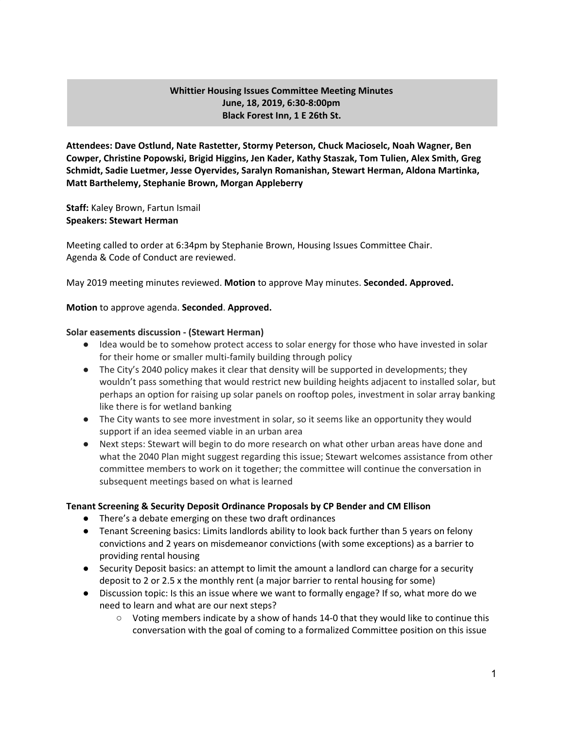# **Whittier Housing Issues Committee Meeting Minutes June, 18, 2019, 6:30-8:00pm Black Forest Inn, 1 E 26th St.**

**Attendees: Dave Ostlund, Nate Rastetter, Stormy Peterson, Chuck Macioselc, Noah Wagner, Ben Cowper, Christine Popowski, Brigid Higgins, Jen Kader, Kathy Staszak, Tom Tulien, Alex Smith, Greg Schmidt, Sadie Luetmer, Jesse Oyervides, Saralyn Romanishan, Stewart Herman, Aldona Martinka, Matt Barthelemy, Stephanie Brown, Morgan Appleberry**

**Staff:** Kaley Brown, Fartun Ismail **Speakers: Stewart Herman**

Meeting called to order at 6:34pm by Stephanie Brown, Housing Issues Committee Chair. Agenda & Code of Conduct are reviewed.

May 2019 meeting minutes reviewed. **Motion** to approve May minutes. **Seconded. Approved.**

#### **Motion** to approve agenda. **Seconded**. **Approved.**

#### **Solar easements discussion - (Stewart Herman)**

- Idea would be to somehow protect access to solar energy for those who have invested in solar for their home or smaller multi-family building through policy
- The City's 2040 policy makes it clear that density will be supported in developments; they wouldn't pass something that would restrict new building heights adjacent to installed solar, but perhaps an option for raising up solar panels on rooftop poles, investment in solar array banking like there is for wetland banking
- The City wants to see more investment in solar, so it seems like an opportunity they would support if an idea seemed viable in an urban area
- Next steps: Stewart will begin to do more research on what other urban areas have done and what the 2040 Plan might suggest regarding this issue; Stewart welcomes assistance from other committee members to work on it together; the committee will continue the conversation in subsequent meetings based on what is learned

### **Tenant Screening & Security Deposit Ordinance Proposals by CP Bender and CM Ellison**

- There's a debate emerging on these two draft ordinances
- Tenant Screening basics: Limits landlords ability to look back further than 5 years on felony convictions and 2 years on misdemeanor convictions (with some exceptions) as a barrier to providing rental housing
- Security Deposit basics: an attempt to limit the amount a landlord can charge for a security deposit to 2 or 2.5 x the monthly rent (a major barrier to rental housing for some)
- Discussion topic: Is this an issue where we want to formally engage? If so, what more do we need to learn and what are our next steps?
	- Voting members indicate by a show of hands 14-0 that they would like to continue this conversation with the goal of coming to a formalized Committee position on this issue